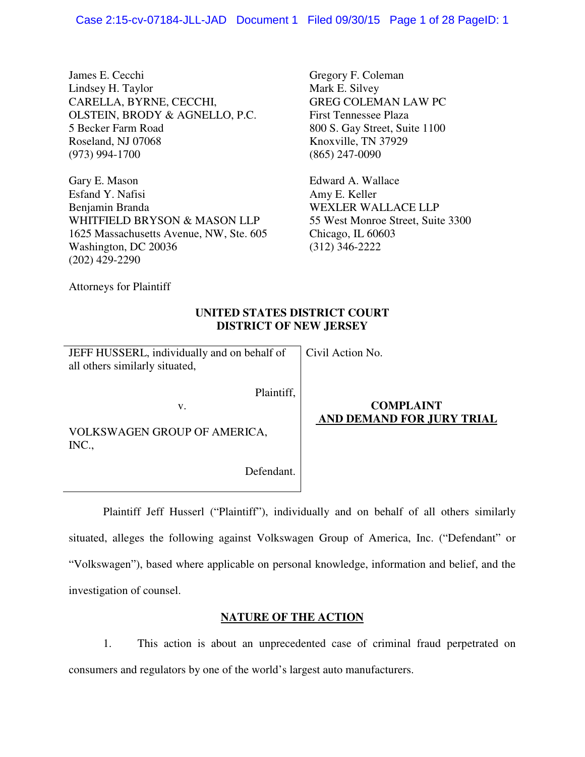James E. Cecchi Lindsey H. Taylor CARELLA, BYRNE, CECCHI, OLSTEIN, BRODY & AGNELLO, P.C. 5 Becker Farm Road Roseland, NJ 07068 (973) 994-1700

Gary E. Mason Esfand Y. Nafisi Benjamin Branda WHITFIELD BRYSON & MASON LLP 1625 Massachusetts Avenue, NW, Ste. 605 Washington, DC 20036 (202) 429-2290

Gregory F. Coleman Mark E. Silvey GREG COLEMAN LAW PC First Tennessee Plaza 800 S. Gay Street, Suite 1100 Knoxville, TN 37929 (865) 247-0090

Edward A. Wallace Amy E. Keller WEXLER WALLACE LLP 55 West Monroe Street, Suite 3300 Chicago, IL 60603 (312) 346-2222

Attorneys for Plaintiff

## **UNITED STATES DISTRICT COURT DISTRICT OF NEW JERSEY**

Civil Action No.

JEFF HUSSERL, individually and on behalf of all others similarly situated,

v.

Plaintiff,

VOLKSWAGEN GROUP OF AMERICA, INC.,

Defendant.

# **COMPLAINT AND DEMAND FOR JURY TRIAL**

 Plaintiff Jeff Husserl ("Plaintiff"), individually and on behalf of all others similarly situated, alleges the following against Volkswagen Group of America, Inc. ("Defendant" or "Volkswagen"), based where applicable on personal knowledge, information and belief, and the investigation of counsel.

# **NATURE OF THE ACTION**

1. This action is about an unprecedented case of criminal fraud perpetrated on consumers and regulators by one of the world's largest auto manufacturers.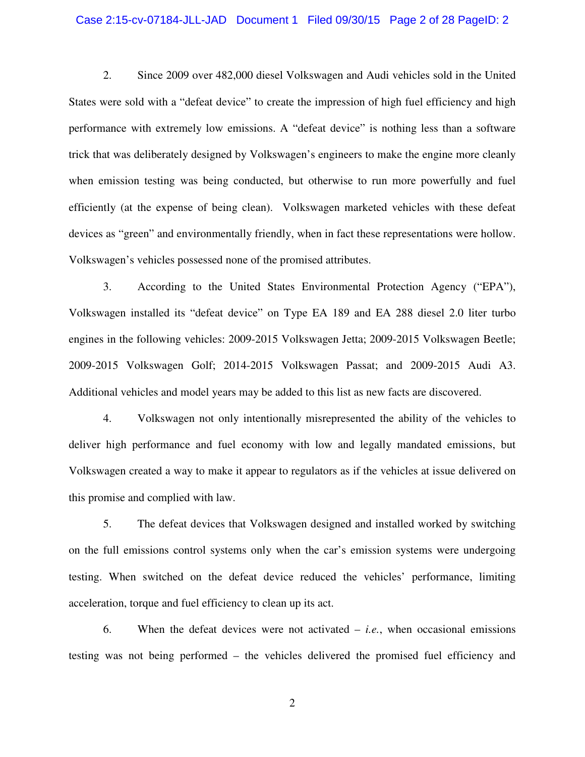#### Case 2:15-cv-07184-JLL-JAD Document 1 Filed 09/30/15 Page 2 of 28 PageID: 2

2. Since 2009 over 482,000 diesel Volkswagen and Audi vehicles sold in the United States were sold with a "defeat device" to create the impression of high fuel efficiency and high performance with extremely low emissions. A "defeat device" is nothing less than a software trick that was deliberately designed by Volkswagen's engineers to make the engine more cleanly when emission testing was being conducted, but otherwise to run more powerfully and fuel efficiently (at the expense of being clean). Volkswagen marketed vehicles with these defeat devices as "green" and environmentally friendly, when in fact these representations were hollow. Volkswagen's vehicles possessed none of the promised attributes.

3. According to the United States Environmental Protection Agency ("EPA"), Volkswagen installed its "defeat device" on Type EA 189 and EA 288 diesel 2.0 liter turbo engines in the following vehicles: 2009-2015 Volkswagen Jetta; 2009-2015 Volkswagen Beetle; 2009-2015 Volkswagen Golf; 2014-2015 Volkswagen Passat; and 2009-2015 Audi A3. Additional vehicles and model years may be added to this list as new facts are discovered.

4. Volkswagen not only intentionally misrepresented the ability of the vehicles to deliver high performance and fuel economy with low and legally mandated emissions, but Volkswagen created a way to make it appear to regulators as if the vehicles at issue delivered on this promise and complied with law.

5. The defeat devices that Volkswagen designed and installed worked by switching on the full emissions control systems only when the car's emission systems were undergoing testing. When switched on the defeat device reduced the vehicles' performance, limiting acceleration, torque and fuel efficiency to clean up its act.

6. When the defeat devices were not activated – *i.e.*, when occasional emissions testing was not being performed – the vehicles delivered the promised fuel efficiency and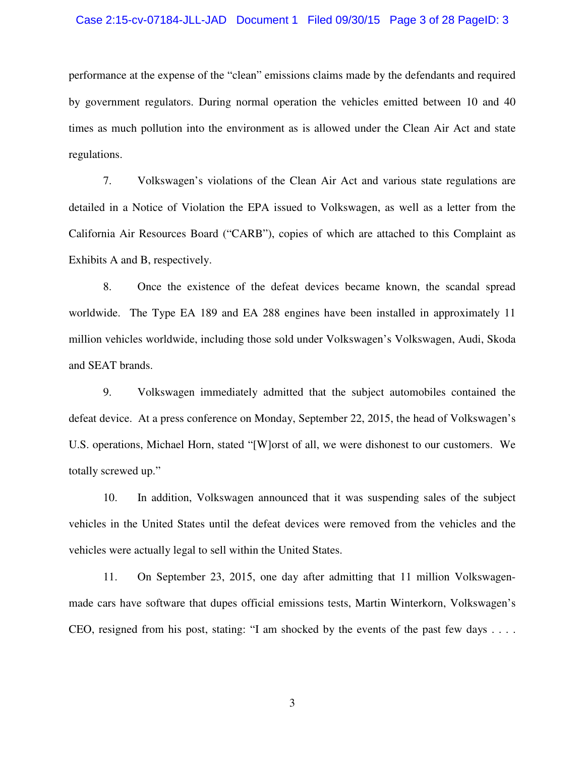#### Case 2:15-cv-07184-JLL-JAD Document 1 Filed 09/30/15 Page 3 of 28 PageID: 3

performance at the expense of the "clean" emissions claims made by the defendants and required by government regulators. During normal operation the vehicles emitted between 10 and 40 times as much pollution into the environment as is allowed under the Clean Air Act and state regulations.

7. Volkswagen's violations of the Clean Air Act and various state regulations are detailed in a Notice of Violation the EPA issued to Volkswagen, as well as a letter from the California Air Resources Board ("CARB"), copies of which are attached to this Complaint as Exhibits A and B, respectively.

8. Once the existence of the defeat devices became known, the scandal spread worldwide. The Type EA 189 and EA 288 engines have been installed in approximately 11 million vehicles worldwide, including those sold under Volkswagen's Volkswagen, Audi, Skoda and SEAT brands.

9. Volkswagen immediately admitted that the subject automobiles contained the defeat device. At a press conference on Monday, September 22, 2015, the head of Volkswagen's U.S. operations, Michael Horn, stated "[W]orst of all, we were dishonest to our customers. We totally screwed up."

10. In addition, Volkswagen announced that it was suspending sales of the subject vehicles in the United States until the defeat devices were removed from the vehicles and the vehicles were actually legal to sell within the United States.

11. On September 23, 2015, one day after admitting that 11 million Volkswagenmade cars have software that dupes official emissions tests, Martin Winterkorn, Volkswagen's CEO, resigned from his post, stating: "I am shocked by the events of the past few days . . . .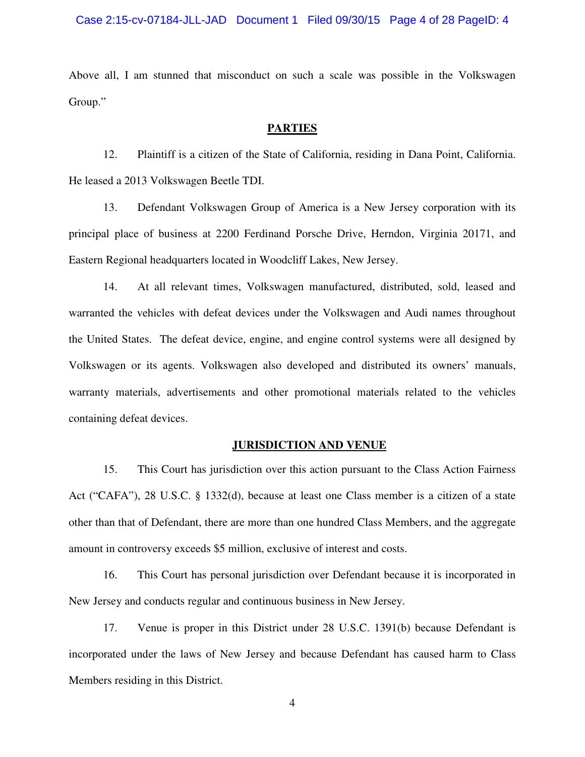Above all, I am stunned that misconduct on such a scale was possible in the Volkswagen Group."

#### **PARTIES**

12. Plaintiff is a citizen of the State of California, residing in Dana Point, California. He leased a 2013 Volkswagen Beetle TDI.

13. Defendant Volkswagen Group of America is a New Jersey corporation with its principal place of business at 2200 Ferdinand Porsche Drive, Herndon, Virginia 20171, and Eastern Regional headquarters located in Woodcliff Lakes, New Jersey.

14. At all relevant times, Volkswagen manufactured, distributed, sold, leased and warranted the vehicles with defeat devices under the Volkswagen and Audi names throughout the United States. The defeat device, engine, and engine control systems were all designed by Volkswagen or its agents. Volkswagen also developed and distributed its owners' manuals, warranty materials, advertisements and other promotional materials related to the vehicles containing defeat devices.

#### **JURISDICTION AND VENUE**

15. This Court has jurisdiction over this action pursuant to the Class Action Fairness Act ("CAFA"), 28 U.S.C. § 1332(d), because at least one Class member is a citizen of a state other than that of Defendant, there are more than one hundred Class Members, and the aggregate amount in controversy exceeds \$5 million, exclusive of interest and costs.

16. This Court has personal jurisdiction over Defendant because it is incorporated in New Jersey and conducts regular and continuous business in New Jersey.

17. Venue is proper in this District under 28 U.S.C. 1391(b) because Defendant is incorporated under the laws of New Jersey and because Defendant has caused harm to Class Members residing in this District.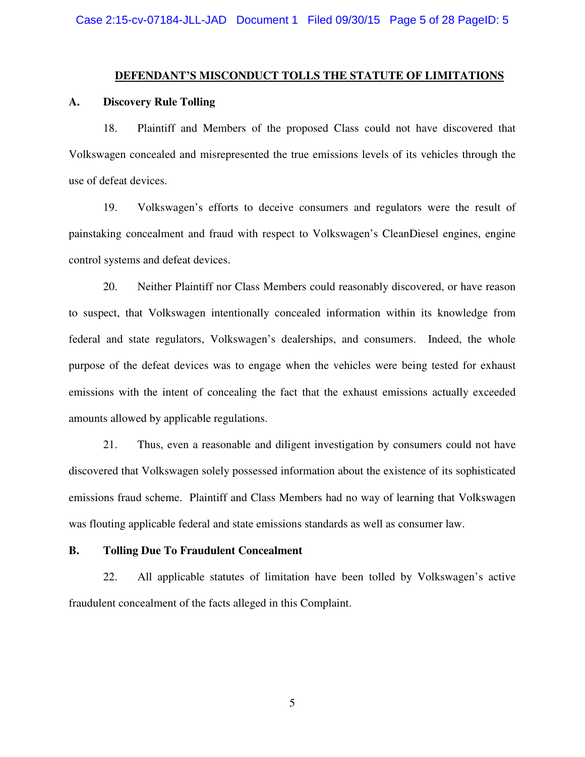#### **DEFENDANT'S MISCONDUCT TOLLS THE STATUTE OF LIMITATIONS**

#### **A. Discovery Rule Tolling**

18. Plaintiff and Members of the proposed Class could not have discovered that Volkswagen concealed and misrepresented the true emissions levels of its vehicles through the use of defeat devices.

19. Volkswagen's efforts to deceive consumers and regulators were the result of painstaking concealment and fraud with respect to Volkswagen's CleanDiesel engines, engine control systems and defeat devices.

20. Neither Plaintiff nor Class Members could reasonably discovered, or have reason to suspect, that Volkswagen intentionally concealed information within its knowledge from federal and state regulators, Volkswagen's dealerships, and consumers. Indeed, the whole purpose of the defeat devices was to engage when the vehicles were being tested for exhaust emissions with the intent of concealing the fact that the exhaust emissions actually exceeded amounts allowed by applicable regulations.

21. Thus, even a reasonable and diligent investigation by consumers could not have discovered that Volkswagen solely possessed information about the existence of its sophisticated emissions fraud scheme. Plaintiff and Class Members had no way of learning that Volkswagen was flouting applicable federal and state emissions standards as well as consumer law.

#### **B. Tolling Due To Fraudulent Concealment**

22. All applicable statutes of limitation have been tolled by Volkswagen's active fraudulent concealment of the facts alleged in this Complaint.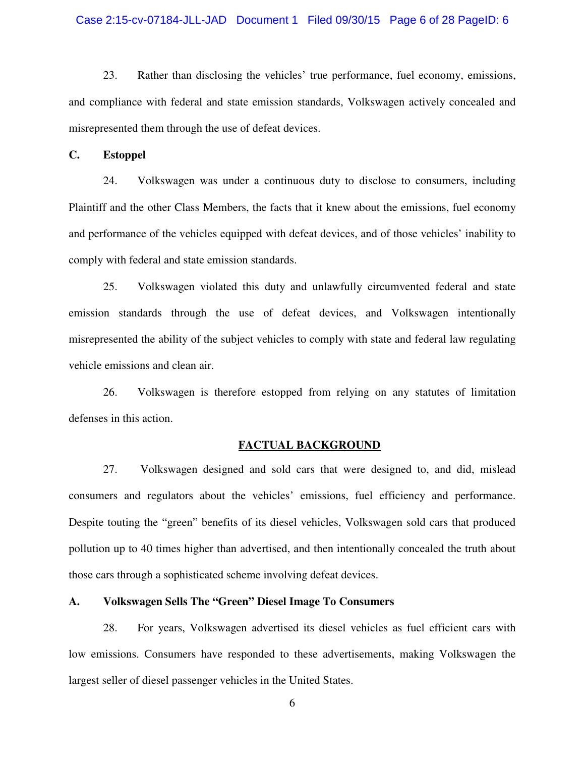#### Case 2:15-cv-07184-JLL-JAD Document 1 Filed 09/30/15 Page 6 of 28 PageID: 6

23. Rather than disclosing the vehicles' true performance, fuel economy, emissions, and compliance with federal and state emission standards, Volkswagen actively concealed and misrepresented them through the use of defeat devices.

**C. Estoppel** 

24. Volkswagen was under a continuous duty to disclose to consumers, including Plaintiff and the other Class Members, the facts that it knew about the emissions, fuel economy and performance of the vehicles equipped with defeat devices, and of those vehicles' inability to comply with federal and state emission standards.

25. Volkswagen violated this duty and unlawfully circumvented federal and state emission standards through the use of defeat devices, and Volkswagen intentionally misrepresented the ability of the subject vehicles to comply with state and federal law regulating vehicle emissions and clean air.

26. Volkswagen is therefore estopped from relying on any statutes of limitation defenses in this action.

#### **FACTUAL BACKGROUND**

27. Volkswagen designed and sold cars that were designed to, and did, mislead consumers and regulators about the vehicles' emissions, fuel efficiency and performance. Despite touting the "green" benefits of its diesel vehicles, Volkswagen sold cars that produced pollution up to 40 times higher than advertised, and then intentionally concealed the truth about those cars through a sophisticated scheme involving defeat devices.

#### **A. Volkswagen Sells The "Green" Diesel Image To Consumers**

28. For years, Volkswagen advertised its diesel vehicles as fuel efficient cars with low emissions. Consumers have responded to these advertisements, making Volkswagen the largest seller of diesel passenger vehicles in the United States.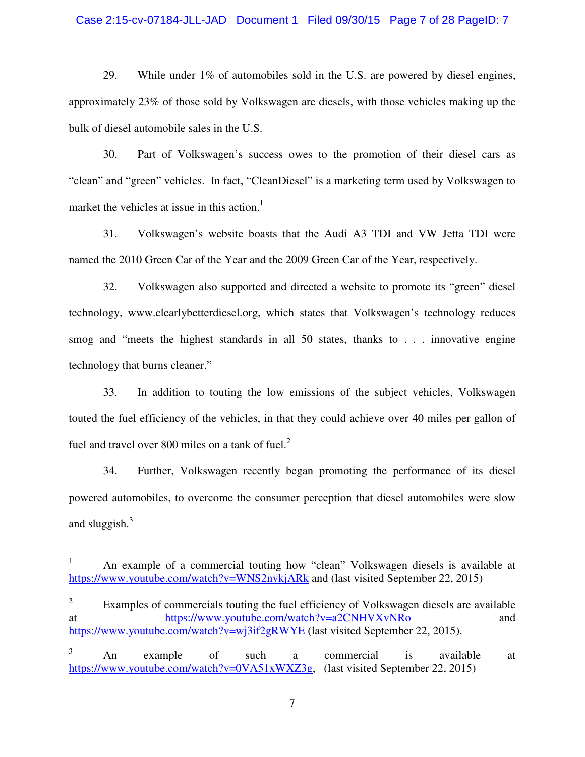#### Case 2:15-cv-07184-JLL-JAD Document 1 Filed 09/30/15 Page 7 of 28 PageID: 7

29. While under 1% of automobiles sold in the U.S. are powered by diesel engines, approximately 23% of those sold by Volkswagen are diesels, with those vehicles making up the bulk of diesel automobile sales in the U.S.

30. Part of Volkswagen's success owes to the promotion of their diesel cars as "clean" and "green" vehicles. In fact, "CleanDiesel" is a marketing term used by Volkswagen to market the vehicles at issue in this action.<sup>1</sup>

31. Volkswagen's website boasts that the Audi A3 TDI and VW Jetta TDI were named the 2010 Green Car of the Year and the 2009 Green Car of the Year, respectively.

32. Volkswagen also supported and directed a website to promote its "green" diesel technology, www.clearlybetterdiesel.org, which states that Volkswagen's technology reduces smog and "meets the highest standards in all 50 states, thanks to . . . innovative engine technology that burns cleaner."

33. In addition to touting the low emissions of the subject vehicles, Volkswagen touted the fuel efficiency of the vehicles, in that they could achieve over 40 miles per gallon of fuel and travel over 800 miles on a tank of fuel. $2<sup>2</sup>$ 

34. Further, Volkswagen recently began promoting the performance of its diesel powered automobiles, to overcome the consumer perception that diesel automobiles were slow and sluggish. $3$ 

<u>.</u>

<sup>1</sup> An example of a commercial touting how "clean" Volkswagen diesels is available at https://www.youtube.com/watch?v=WNS2nvkjARk and (last visited September 22, 2015)

<sup>2</sup> Examples of commercials touting the fuel efficiency of Volkswagen diesels are available at https://www.youtube.com/watch?v=a2CNHVXvNRo and https://www.youtube.com/watch?v=wj3if2gRWYE (last visited September 22, 2015).

<sup>3</sup> An example of such a commercial is available at https://www.youtube.com/watch?v=0VA51xWXZ3g, (last visited September 22, 2015)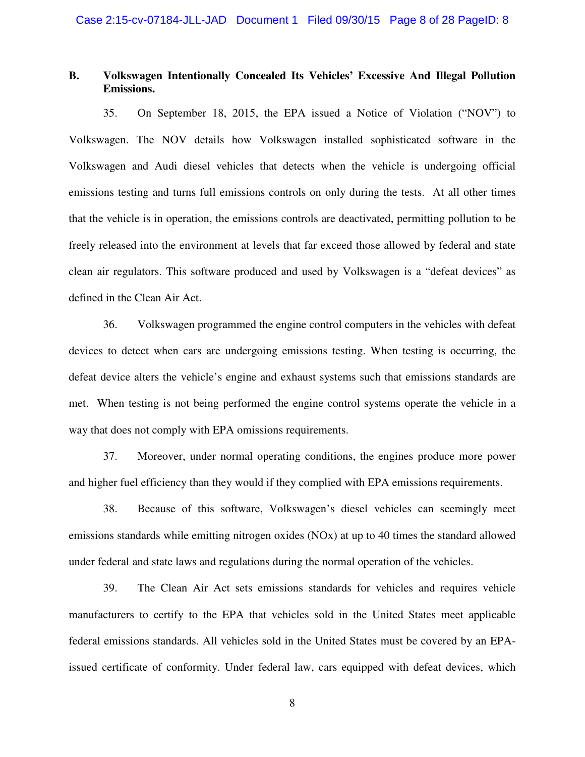### **B. Volkswagen Intentionally Concealed Its Vehicles' Excessive And Illegal Pollution Emissions.**

35. On September 18, 2015, the EPA issued a Notice of Violation ("NOV") to Volkswagen. The NOV details how Volkswagen installed sophisticated software in the Volkswagen and Audi diesel vehicles that detects when the vehicle is undergoing official emissions testing and turns full emissions controls on only during the tests. At all other times that the vehicle is in operation, the emissions controls are deactivated, permitting pollution to be freely released into the environment at levels that far exceed those allowed by federal and state clean air regulators. This software produced and used by Volkswagen is a "defeat devices" as defined in the Clean Air Act.

36. Volkswagen programmed the engine control computers in the vehicles with defeat devices to detect when cars are undergoing emissions testing. When testing is occurring, the defeat device alters the vehicle's engine and exhaust systems such that emissions standards are met. When testing is not being performed the engine control systems operate the vehicle in a way that does not comply with EPA omissions requirements.

37. Moreover, under normal operating conditions, the engines produce more power and higher fuel efficiency than they would if they complied with EPA emissions requirements.

38. Because of this software, Volkswagen's diesel vehicles can seemingly meet emissions standards while emitting nitrogen oxides (NOx) at up to 40 times the standard allowed under federal and state laws and regulations during the normal operation of the vehicles.

39. The Clean Air Act sets emissions standards for vehicles and requires vehicle manufacturers to certify to the EPA that vehicles sold in the United States meet applicable federal emissions standards. All vehicles sold in the United States must be covered by an EPAissued certificate of conformity. Under federal law, cars equipped with defeat devices, which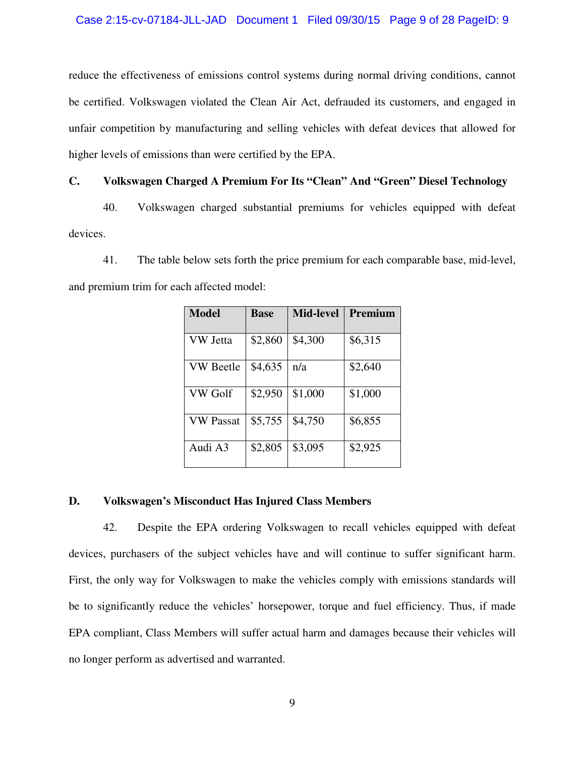reduce the effectiveness of emissions control systems during normal driving conditions, cannot be certified. Volkswagen violated the Clean Air Act, defrauded its customers, and engaged in unfair competition by manufacturing and selling vehicles with defeat devices that allowed for higher levels of emissions than were certified by the EPA.

### **C. Volkswagen Charged A Premium For Its "Clean" And "Green" Diesel Technology**

40. Volkswagen charged substantial premiums for vehicles equipped with defeat devices.

41. The table below sets forth the price premium for each comparable base, mid-level, and premium trim for each affected model:

| <b>Model</b>     | <b>Base</b> | <b>Mid-level</b> | Premium |
|------------------|-------------|------------------|---------|
| VW Jetta         | \$2,860     | \$4,300          | \$6,315 |
| VW Beetle        | \$4,635     | n/a              | \$2,640 |
| VW Golf          | \$2,950     | \$1,000          | \$1,000 |
| <b>VW Passat</b> | \$5,755     | \$4,750          | \$6,855 |
| Audi A3          | \$2,805     | \$3,095          | \$2,925 |

### **D. Volkswagen's Misconduct Has Injured Class Members**

42. Despite the EPA ordering Volkswagen to recall vehicles equipped with defeat devices, purchasers of the subject vehicles have and will continue to suffer significant harm. First, the only way for Volkswagen to make the vehicles comply with emissions standards will be to significantly reduce the vehicles' horsepower, torque and fuel efficiency. Thus, if made EPA compliant, Class Members will suffer actual harm and damages because their vehicles will no longer perform as advertised and warranted.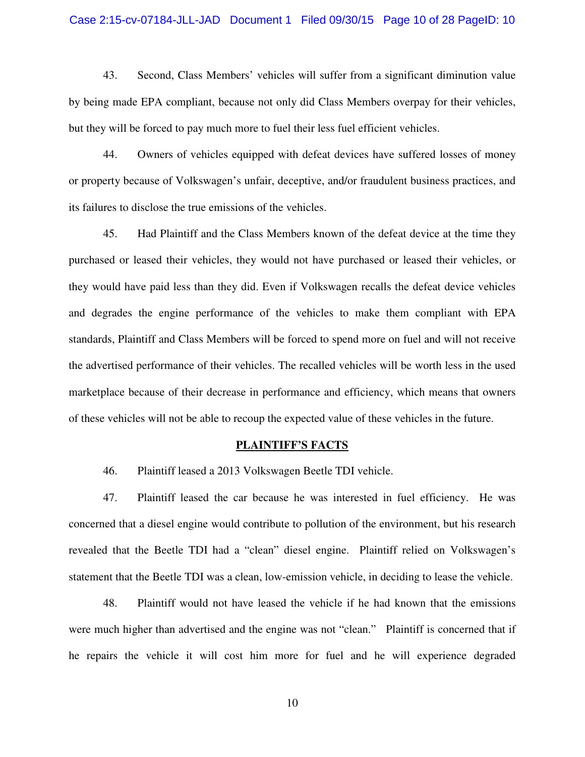#### Case 2:15-cv-07184-JLL-JAD Document 1 Filed 09/30/15 Page 10 of 28 PageID: 10

43. Second, Class Members' vehicles will suffer from a significant diminution value by being made EPA compliant, because not only did Class Members overpay for their vehicles, but they will be forced to pay much more to fuel their less fuel efficient vehicles.

44. Owners of vehicles equipped with defeat devices have suffered losses of money or property because of Volkswagen's unfair, deceptive, and/or fraudulent business practices, and its failures to disclose the true emissions of the vehicles.

45. Had Plaintiff and the Class Members known of the defeat device at the time they purchased or leased their vehicles, they would not have purchased or leased their vehicles, or they would have paid less than they did. Even if Volkswagen recalls the defeat device vehicles and degrades the engine performance of the vehicles to make them compliant with EPA standards, Plaintiff and Class Members will be forced to spend more on fuel and will not receive the advertised performance of their vehicles. The recalled vehicles will be worth less in the used marketplace because of their decrease in performance and efficiency, which means that owners of these vehicles will not be able to recoup the expected value of these vehicles in the future.

#### **PLAINTIFF'S FACTS**

46. Plaintiff leased a 2013 Volkswagen Beetle TDI vehicle.

47. Plaintiff leased the car because he was interested in fuel efficiency. He was concerned that a diesel engine would contribute to pollution of the environment, but his research revealed that the Beetle TDI had a "clean" diesel engine. Plaintiff relied on Volkswagen's statement that the Beetle TDI was a clean, low-emission vehicle, in deciding to lease the vehicle.

48. Plaintiff would not have leased the vehicle if he had known that the emissions were much higher than advertised and the engine was not "clean." Plaintiff is concerned that if he repairs the vehicle it will cost him more for fuel and he will experience degraded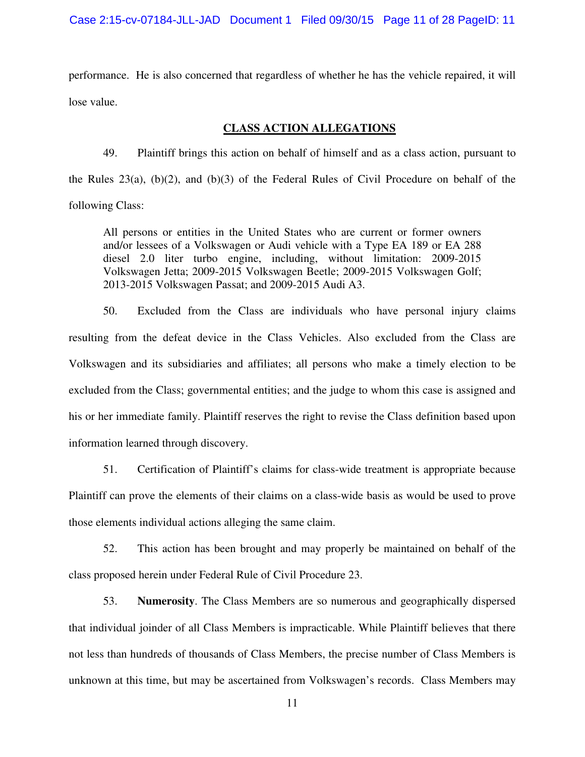performance. He is also concerned that regardless of whether he has the vehicle repaired, it will lose value.

### **CLASS ACTION ALLEGATIONS**

49. Plaintiff brings this action on behalf of himself and as a class action, pursuant to the Rules  $23(a)$ ,  $(b)(2)$ , and  $(b)(3)$  of the Federal Rules of Civil Procedure on behalf of the following Class:

All persons or entities in the United States who are current or former owners and/or lessees of a Volkswagen or Audi vehicle with a Type EA 189 or EA 288 diesel 2.0 liter turbo engine, including, without limitation: 2009-2015 Volkswagen Jetta; 2009-2015 Volkswagen Beetle; 2009-2015 Volkswagen Golf; 2013-2015 Volkswagen Passat; and 2009-2015 Audi A3.

50. Excluded from the Class are individuals who have personal injury claims resulting from the defeat device in the Class Vehicles. Also excluded from the Class are Volkswagen and its subsidiaries and affiliates; all persons who make a timely election to be excluded from the Class; governmental entities; and the judge to whom this case is assigned and his or her immediate family. Plaintiff reserves the right to revise the Class definition based upon information learned through discovery.

51. Certification of Plaintiff's claims for class-wide treatment is appropriate because Plaintiff can prove the elements of their claims on a class-wide basis as would be used to prove those elements individual actions alleging the same claim.

52. This action has been brought and may properly be maintained on behalf of the class proposed herein under Federal Rule of Civil Procedure 23.

53. **Numerosity**. The Class Members are so numerous and geographically dispersed that individual joinder of all Class Members is impracticable. While Plaintiff believes that there not less than hundreds of thousands of Class Members, the precise number of Class Members is unknown at this time, but may be ascertained from Volkswagen's records. Class Members may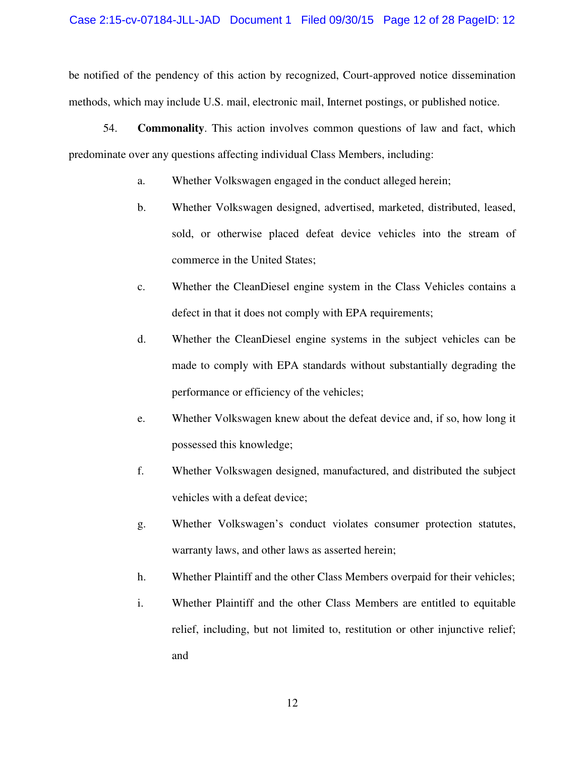be notified of the pendency of this action by recognized, Court-approved notice dissemination methods, which may include U.S. mail, electronic mail, Internet postings, or published notice.

54. **Commonality**. This action involves common questions of law and fact, which predominate over any questions affecting individual Class Members, including:

- a. Whether Volkswagen engaged in the conduct alleged herein;
- b. Whether Volkswagen designed, advertised, marketed, distributed, leased, sold, or otherwise placed defeat device vehicles into the stream of commerce in the United States;
- c. Whether the CleanDiesel engine system in the Class Vehicles contains a defect in that it does not comply with EPA requirements;
- d. Whether the CleanDiesel engine systems in the subject vehicles can be made to comply with EPA standards without substantially degrading the performance or efficiency of the vehicles;
- e. Whether Volkswagen knew about the defeat device and, if so, how long it possessed this knowledge;
- f. Whether Volkswagen designed, manufactured, and distributed the subject vehicles with a defeat device;
- g. Whether Volkswagen's conduct violates consumer protection statutes, warranty laws, and other laws as asserted herein;
- h. Whether Plaintiff and the other Class Members overpaid for their vehicles;
- i. Whether Plaintiff and the other Class Members are entitled to equitable relief, including, but not limited to, restitution or other injunctive relief; and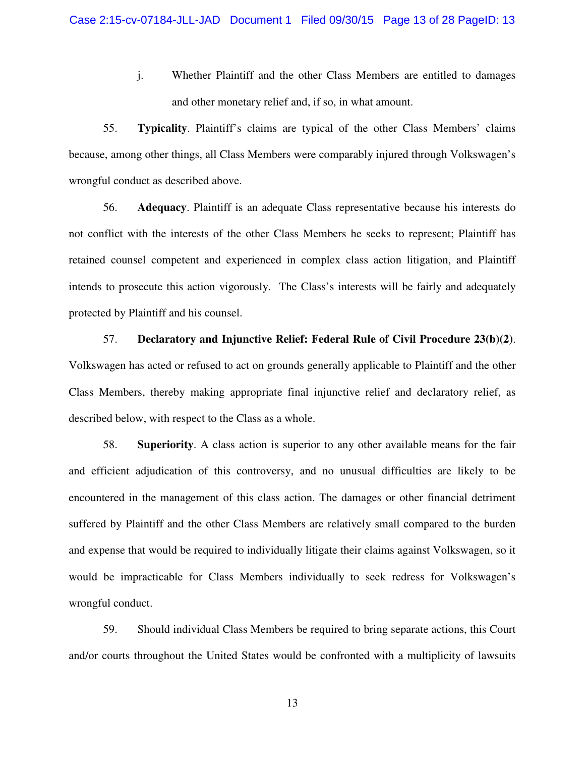j. Whether Plaintiff and the other Class Members are entitled to damages and other monetary relief and, if so, in what amount.

55. **Typicality**. Plaintiff's claims are typical of the other Class Members' claims because, among other things, all Class Members were comparably injured through Volkswagen's wrongful conduct as described above.

56. **Adequacy**. Plaintiff is an adequate Class representative because his interests do not conflict with the interests of the other Class Members he seeks to represent; Plaintiff has retained counsel competent and experienced in complex class action litigation, and Plaintiff intends to prosecute this action vigorously. The Class's interests will be fairly and adequately protected by Plaintiff and his counsel.

57. **Declaratory and Injunctive Relief: Federal Rule of Civil Procedure 23(b)(2)**. Volkswagen has acted or refused to act on grounds generally applicable to Plaintiff and the other Class Members, thereby making appropriate final injunctive relief and declaratory relief, as described below, with respect to the Class as a whole.

58. **Superiority**. A class action is superior to any other available means for the fair and efficient adjudication of this controversy, and no unusual difficulties are likely to be encountered in the management of this class action. The damages or other financial detriment suffered by Plaintiff and the other Class Members are relatively small compared to the burden and expense that would be required to individually litigate their claims against Volkswagen, so it would be impracticable for Class Members individually to seek redress for Volkswagen's wrongful conduct.

59. Should individual Class Members be required to bring separate actions, this Court and/or courts throughout the United States would be confronted with a multiplicity of lawsuits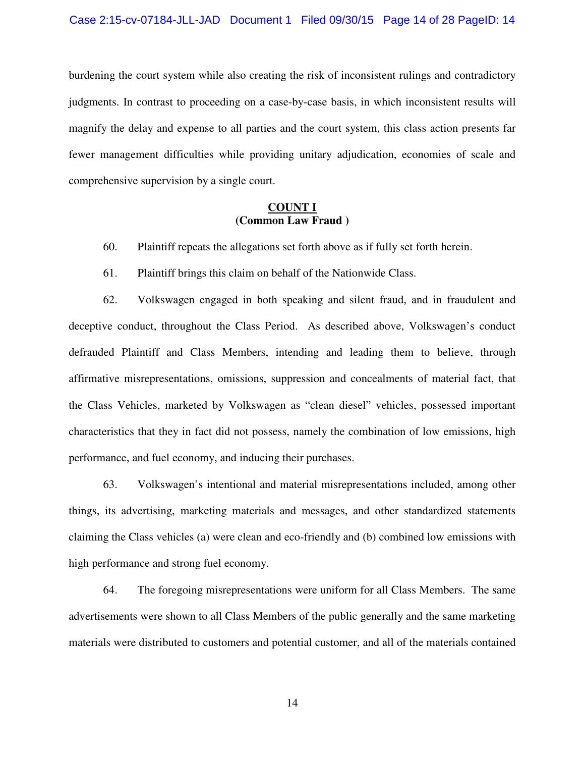burdening the court system while also creating the risk of inconsistent rulings and contradictory judgments. In contrast to proceeding on a case-by-case basis, in which inconsistent results will magnify the delay and expense to all parties and the court system, this class action presents far fewer management difficulties while providing unitary adjudication, economies of scale and comprehensive supervision by a single court.

### **COUNT I (Common Law Fraud )**

- 60. Plaintiff repeats the allegations set forth above as if fully set forth herein.
- 61. Plaintiff brings this claim on behalf of the Nationwide Class.

62. Volkswagen engaged in both speaking and silent fraud, and in fraudulent and deceptive conduct, throughout the Class Period. As described above, Volkswagen's conduct defrauded Plaintiff and Class Members, intending and leading them to believe, through affirmative misrepresentations, omissions, suppression and concealments of material fact, that the Class Vehicles, marketed by Volkswagen as "clean diesel" vehicles, possessed important characteristics that they in fact did not possess, namely the combination of low emissions, high performance, and fuel economy, and inducing their purchases.

63. Volkswagen's intentional and material misrepresentations included, among other things, its advertising, marketing materials and messages, and other standardized statements claiming the Class vehicles (a) were clean and eco-friendly and (b) combined low emissions with high performance and strong fuel economy.

64. The foregoing misrepresentations were uniform for all Class Members. The same advertisements were shown to all Class Members of the public generally and the same marketing materials were distributed to customers and potential customer, and all of the materials contained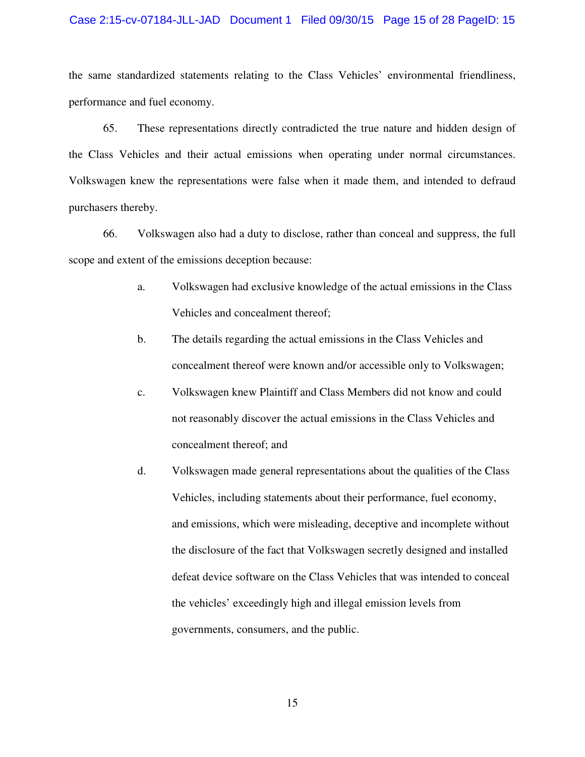#### Case 2:15-cv-07184-JLL-JAD Document 1 Filed 09/30/15 Page 15 of 28 PageID: 15

the same standardized statements relating to the Class Vehicles' environmental friendliness, performance and fuel economy.

65. These representations directly contradicted the true nature and hidden design of the Class Vehicles and their actual emissions when operating under normal circumstances. Volkswagen knew the representations were false when it made them, and intended to defraud purchasers thereby.

66. Volkswagen also had a duty to disclose, rather than conceal and suppress, the full scope and extent of the emissions deception because:

- a. Volkswagen had exclusive knowledge of the actual emissions in the Class Vehicles and concealment thereof;
- b. The details regarding the actual emissions in the Class Vehicles and concealment thereof were known and/or accessible only to Volkswagen;
- c. Volkswagen knew Plaintiff and Class Members did not know and could not reasonably discover the actual emissions in the Class Vehicles and concealment thereof; and
- d. Volkswagen made general representations about the qualities of the Class Vehicles, including statements about their performance, fuel economy, and emissions, which were misleading, deceptive and incomplete without the disclosure of the fact that Volkswagen secretly designed and installed defeat device software on the Class Vehicles that was intended to conceal the vehicles' exceedingly high and illegal emission levels from governments, consumers, and the public.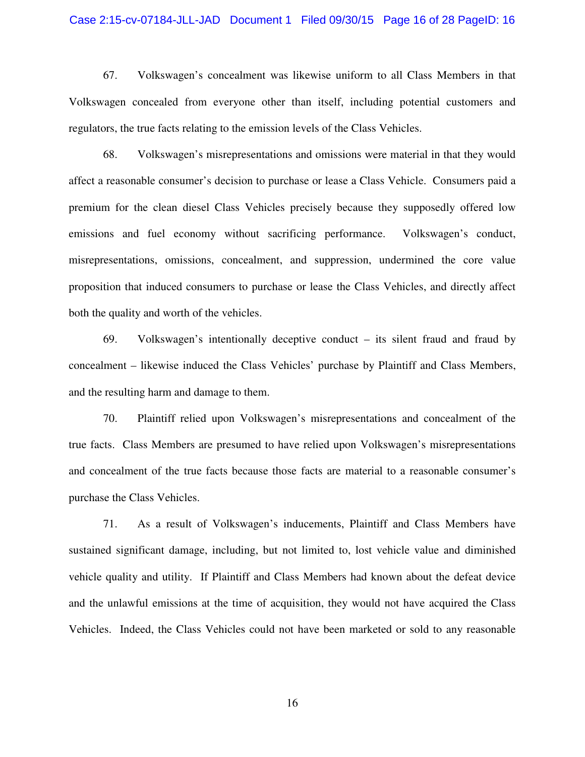#### Case 2:15-cv-07184-JLL-JAD Document 1 Filed 09/30/15 Page 16 of 28 PageID: 16

67. Volkswagen's concealment was likewise uniform to all Class Members in that Volkswagen concealed from everyone other than itself, including potential customers and regulators, the true facts relating to the emission levels of the Class Vehicles.

68. Volkswagen's misrepresentations and omissions were material in that they would affect a reasonable consumer's decision to purchase or lease a Class Vehicle. Consumers paid a premium for the clean diesel Class Vehicles precisely because they supposedly offered low emissions and fuel economy without sacrificing performance. Volkswagen's conduct, misrepresentations, omissions, concealment, and suppression, undermined the core value proposition that induced consumers to purchase or lease the Class Vehicles, and directly affect both the quality and worth of the vehicles.

69. Volkswagen's intentionally deceptive conduct – its silent fraud and fraud by concealment – likewise induced the Class Vehicles' purchase by Plaintiff and Class Members, and the resulting harm and damage to them.

70. Plaintiff relied upon Volkswagen's misrepresentations and concealment of the true facts. Class Members are presumed to have relied upon Volkswagen's misrepresentations and concealment of the true facts because those facts are material to a reasonable consumer's purchase the Class Vehicles.

71. As a result of Volkswagen's inducements, Plaintiff and Class Members have sustained significant damage, including, but not limited to, lost vehicle value and diminished vehicle quality and utility. If Plaintiff and Class Members had known about the defeat device and the unlawful emissions at the time of acquisition, they would not have acquired the Class Vehicles. Indeed, the Class Vehicles could not have been marketed or sold to any reasonable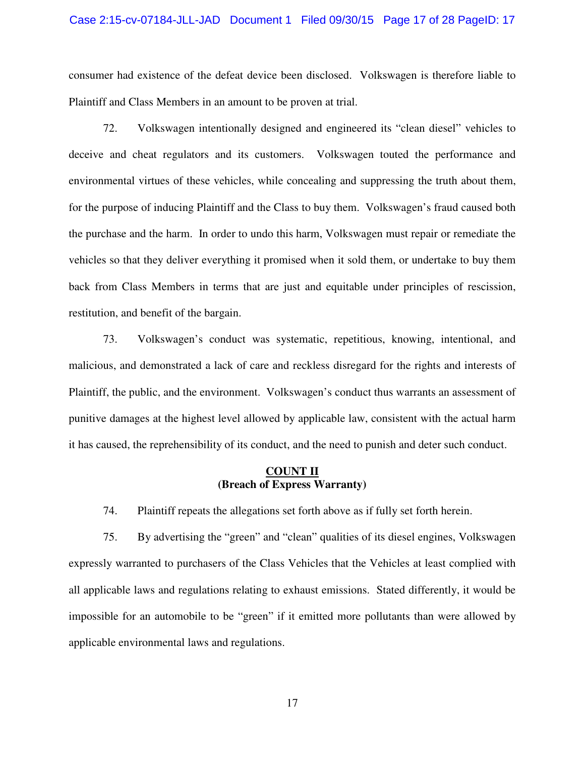#### Case 2:15-cv-07184-JLL-JAD Document 1 Filed 09/30/15 Page 17 of 28 PageID: 17

consumer had existence of the defeat device been disclosed. Volkswagen is therefore liable to Plaintiff and Class Members in an amount to be proven at trial.

72. Volkswagen intentionally designed and engineered its "clean diesel" vehicles to deceive and cheat regulators and its customers. Volkswagen touted the performance and environmental virtues of these vehicles, while concealing and suppressing the truth about them, for the purpose of inducing Plaintiff and the Class to buy them. Volkswagen's fraud caused both the purchase and the harm. In order to undo this harm, Volkswagen must repair or remediate the vehicles so that they deliver everything it promised when it sold them, or undertake to buy them back from Class Members in terms that are just and equitable under principles of rescission, restitution, and benefit of the bargain.

73. Volkswagen's conduct was systematic, repetitious, knowing, intentional, and malicious, and demonstrated a lack of care and reckless disregard for the rights and interests of Plaintiff, the public, and the environment. Volkswagen's conduct thus warrants an assessment of punitive damages at the highest level allowed by applicable law, consistent with the actual harm it has caused, the reprehensibility of its conduct, and the need to punish and deter such conduct.

#### **COUNT II (Breach of Express Warranty)**

74. Plaintiff repeats the allegations set forth above as if fully set forth herein.

75. By advertising the "green" and "clean" qualities of its diesel engines, Volkswagen expressly warranted to purchasers of the Class Vehicles that the Vehicles at least complied with all applicable laws and regulations relating to exhaust emissions. Stated differently, it would be impossible for an automobile to be "green" if it emitted more pollutants than were allowed by applicable environmental laws and regulations.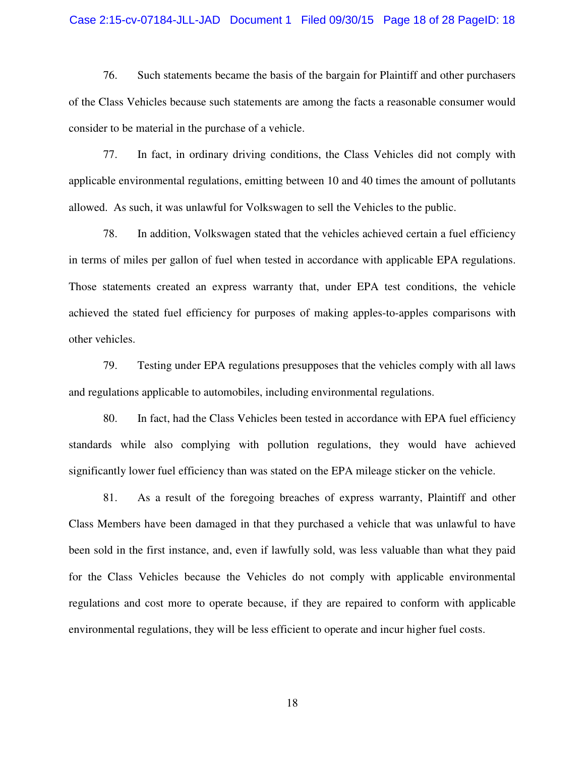#### Case 2:15-cv-07184-JLL-JAD Document 1 Filed 09/30/15 Page 18 of 28 PageID: 18

76. Such statements became the basis of the bargain for Plaintiff and other purchasers of the Class Vehicles because such statements are among the facts a reasonable consumer would consider to be material in the purchase of a vehicle.

77. In fact, in ordinary driving conditions, the Class Vehicles did not comply with applicable environmental regulations, emitting between 10 and 40 times the amount of pollutants allowed. As such, it was unlawful for Volkswagen to sell the Vehicles to the public.

78. In addition, Volkswagen stated that the vehicles achieved certain a fuel efficiency in terms of miles per gallon of fuel when tested in accordance with applicable EPA regulations. Those statements created an express warranty that, under EPA test conditions, the vehicle achieved the stated fuel efficiency for purposes of making apples-to-apples comparisons with other vehicles.

79. Testing under EPA regulations presupposes that the vehicles comply with all laws and regulations applicable to automobiles, including environmental regulations.

80. In fact, had the Class Vehicles been tested in accordance with EPA fuel efficiency standards while also complying with pollution regulations, they would have achieved significantly lower fuel efficiency than was stated on the EPA mileage sticker on the vehicle.

81. As a result of the foregoing breaches of express warranty, Plaintiff and other Class Members have been damaged in that they purchased a vehicle that was unlawful to have been sold in the first instance, and, even if lawfully sold, was less valuable than what they paid for the Class Vehicles because the Vehicles do not comply with applicable environmental regulations and cost more to operate because, if they are repaired to conform with applicable environmental regulations, they will be less efficient to operate and incur higher fuel costs.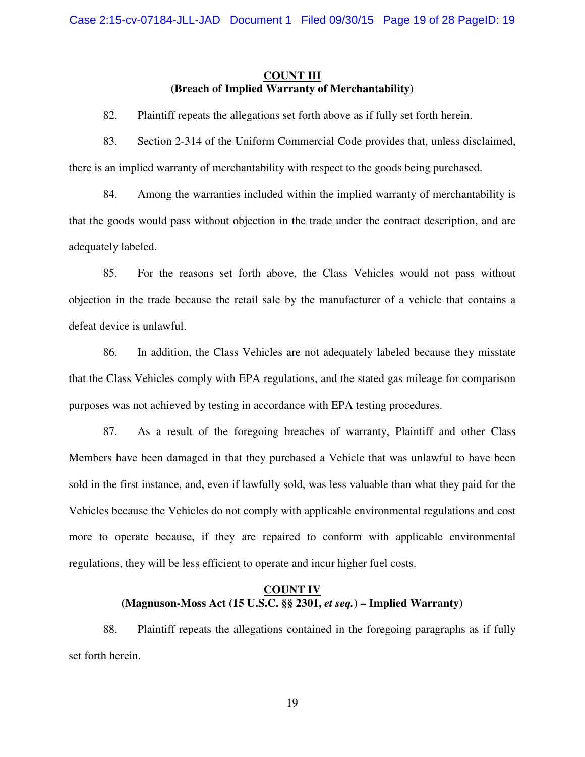### **COUNT III (Breach of Implied Warranty of Merchantability)**

- 82. Plaintiff repeats the allegations set forth above as if fully set forth herein.
- 83. Section 2-314 of the Uniform Commercial Code provides that, unless disclaimed, there is an implied warranty of merchantability with respect to the goods being purchased.

84. Among the warranties included within the implied warranty of merchantability is that the goods would pass without objection in the trade under the contract description, and are adequately labeled.

85. For the reasons set forth above, the Class Vehicles would not pass without objection in the trade because the retail sale by the manufacturer of a vehicle that contains a defeat device is unlawful.

86. In addition, the Class Vehicles are not adequately labeled because they misstate that the Class Vehicles comply with EPA regulations, and the stated gas mileage for comparison purposes was not achieved by testing in accordance with EPA testing procedures.

87. As a result of the foregoing breaches of warranty, Plaintiff and other Class Members have been damaged in that they purchased a Vehicle that was unlawful to have been sold in the first instance, and, even if lawfully sold, was less valuable than what they paid for the Vehicles because the Vehicles do not comply with applicable environmental regulations and cost more to operate because, if they are repaired to conform with applicable environmental regulations, they will be less efficient to operate and incur higher fuel costs.

### **COUNT IV (Magnuson-Moss Act (15 U.S.C. §§ 2301,** *et seq.***) – Implied Warranty)**

88. Plaintiff repeats the allegations contained in the foregoing paragraphs as if fully set forth herein.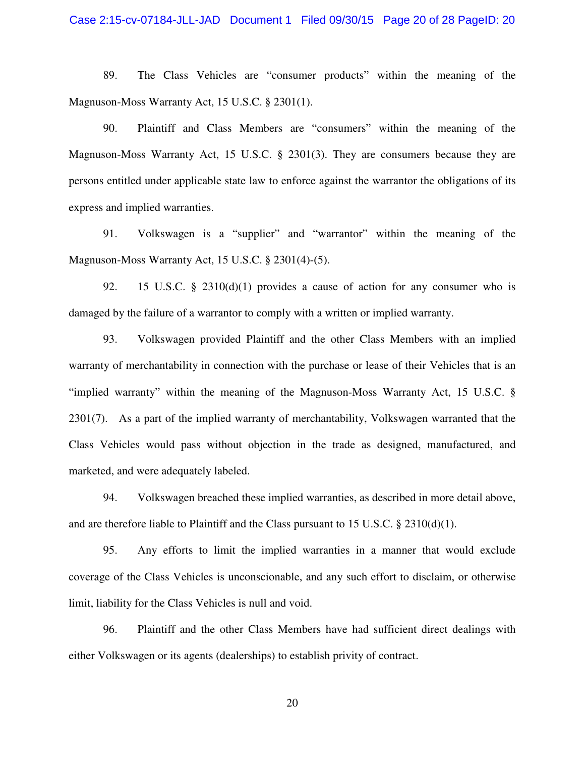89. The Class Vehicles are "consumer products" within the meaning of the Magnuson-Moss Warranty Act, 15 U.S.C. § 2301(1).

90. Plaintiff and Class Members are "consumers" within the meaning of the Magnuson-Moss Warranty Act, 15 U.S.C. § 2301(3). They are consumers because they are persons entitled under applicable state law to enforce against the warrantor the obligations of its express and implied warranties.

91. Volkswagen is a "supplier" and "warrantor" within the meaning of the Magnuson-Moss Warranty Act, 15 U.S.C. § 2301(4)-(5).

92. 15 U.S.C. § 2310(d)(1) provides a cause of action for any consumer who is damaged by the failure of a warrantor to comply with a written or implied warranty.

93. Volkswagen provided Plaintiff and the other Class Members with an implied warranty of merchantability in connection with the purchase or lease of their Vehicles that is an "implied warranty" within the meaning of the Magnuson-Moss Warranty Act, 15 U.S.C. § 2301(7). As a part of the implied warranty of merchantability, Volkswagen warranted that the Class Vehicles would pass without objection in the trade as designed, manufactured, and marketed, and were adequately labeled.

94. Volkswagen breached these implied warranties, as described in more detail above, and are therefore liable to Plaintiff and the Class pursuant to 15 U.S.C.  $\S$  2310(d)(1).

95. Any efforts to limit the implied warranties in a manner that would exclude coverage of the Class Vehicles is unconscionable, and any such effort to disclaim, or otherwise limit, liability for the Class Vehicles is null and void.

96. Plaintiff and the other Class Members have had sufficient direct dealings with either Volkswagen or its agents (dealerships) to establish privity of contract.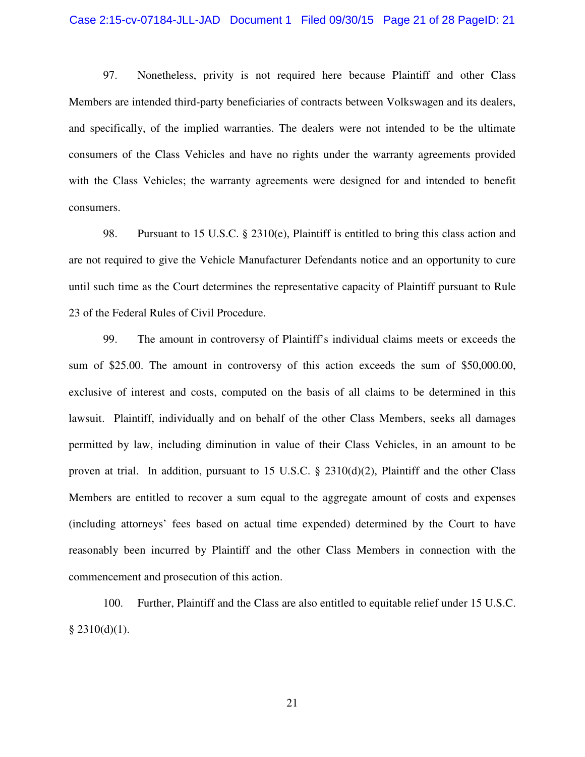#### Case 2:15-cv-07184-JLL-JAD Document 1 Filed 09/30/15 Page 21 of 28 PageID: 21

97. Nonetheless, privity is not required here because Plaintiff and other Class Members are intended third-party beneficiaries of contracts between Volkswagen and its dealers, and specifically, of the implied warranties. The dealers were not intended to be the ultimate consumers of the Class Vehicles and have no rights under the warranty agreements provided with the Class Vehicles; the warranty agreements were designed for and intended to benefit consumers.

98. Pursuant to 15 U.S.C. § 2310(e), Plaintiff is entitled to bring this class action and are not required to give the Vehicle Manufacturer Defendants notice and an opportunity to cure until such time as the Court determines the representative capacity of Plaintiff pursuant to Rule 23 of the Federal Rules of Civil Procedure.

99. The amount in controversy of Plaintiff's individual claims meets or exceeds the sum of \$25.00. The amount in controversy of this action exceeds the sum of \$50,000.00, exclusive of interest and costs, computed on the basis of all claims to be determined in this lawsuit. Plaintiff, individually and on behalf of the other Class Members, seeks all damages permitted by law, including diminution in value of their Class Vehicles, in an amount to be proven at trial. In addition, pursuant to 15 U.S.C. § 2310(d)(2), Plaintiff and the other Class Members are entitled to recover a sum equal to the aggregate amount of costs and expenses (including attorneys' fees based on actual time expended) determined by the Court to have reasonably been incurred by Plaintiff and the other Class Members in connection with the commencement and prosecution of this action.

100. Further, Plaintiff and the Class are also entitled to equitable relief under 15 U.S.C.  $§$  2310(d)(1).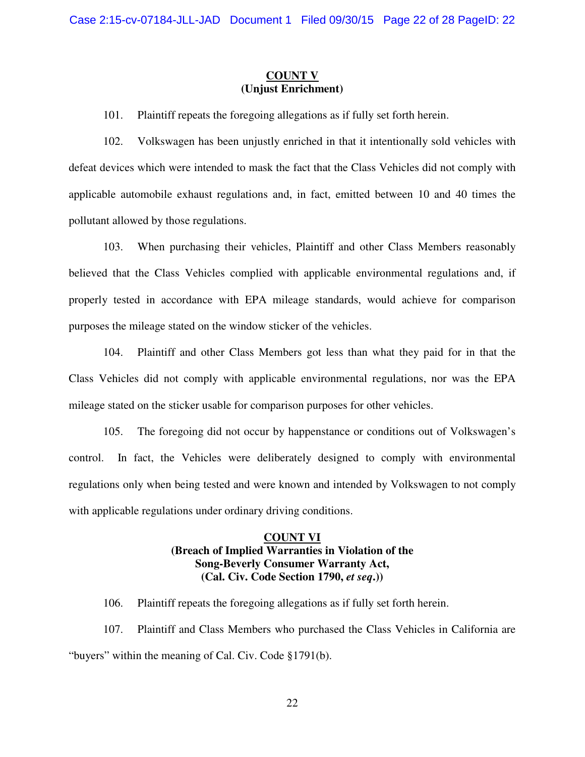### **COUNT V (Unjust Enrichment)**

101. Plaintiff repeats the foregoing allegations as if fully set forth herein.

102. Volkswagen has been unjustly enriched in that it intentionally sold vehicles with defeat devices which were intended to mask the fact that the Class Vehicles did not comply with applicable automobile exhaust regulations and, in fact, emitted between 10 and 40 times the pollutant allowed by those regulations.

103. When purchasing their vehicles, Plaintiff and other Class Members reasonably believed that the Class Vehicles complied with applicable environmental regulations and, if properly tested in accordance with EPA mileage standards, would achieve for comparison purposes the mileage stated on the window sticker of the vehicles.

104. Plaintiff and other Class Members got less than what they paid for in that the Class Vehicles did not comply with applicable environmental regulations, nor was the EPA mileage stated on the sticker usable for comparison purposes for other vehicles.

105. The foregoing did not occur by happenstance or conditions out of Volkswagen's control. In fact, the Vehicles were deliberately designed to comply with environmental regulations only when being tested and were known and intended by Volkswagen to not comply with applicable regulations under ordinary driving conditions.

### **COUNT VI (Breach of Implied Warranties in Violation of the Song-Beverly Consumer Warranty Act, (Cal. Civ. Code Section 1790,** *et seq***.))**

106. Plaintiff repeats the foregoing allegations as if fully set forth herein.

107. Plaintiff and Class Members who purchased the Class Vehicles in California are "buyers" within the meaning of Cal. Civ. Code §1791(b).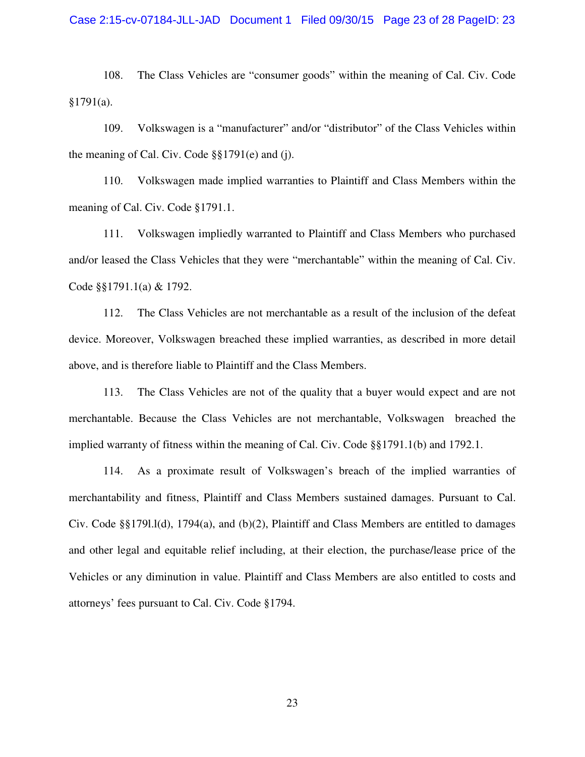108. The Class Vehicles are "consumer goods" within the meaning of Cal. Civ. Code  $§1791(a).$ 

109. Volkswagen is a "manufacturer" and/or "distributor" of the Class Vehicles within the meaning of Cal. Civ. Code §§1791(e) and (j).

110. Volkswagen made implied warranties to Plaintiff and Class Members within the meaning of Cal. Civ. Code §1791.1.

111. Volkswagen impliedly warranted to Plaintiff and Class Members who purchased and/or leased the Class Vehicles that they were "merchantable" within the meaning of Cal. Civ. Code §§1791.1(a) & 1792.

112. The Class Vehicles are not merchantable as a result of the inclusion of the defeat device. Moreover, Volkswagen breached these implied warranties, as described in more detail above, and is therefore liable to Plaintiff and the Class Members.

113. The Class Vehicles are not of the quality that a buyer would expect and are not merchantable. Because the Class Vehicles are not merchantable, Volkswagen breached the implied warranty of fitness within the meaning of Cal. Civ. Code §§1791.1(b) and 1792.1.

114. As a proximate result of Volkswagen's breach of the implied warranties of merchantability and fitness, Plaintiff and Class Members sustained damages. Pursuant to Cal. Civ. Code §§179l.l(d), 1794(a), and (b)(2), Plaintiff and Class Members are entitled to damages and other legal and equitable relief including, at their election, the purchase/lease price of the Vehicles or any diminution in value. Plaintiff and Class Members are also entitled to costs and attorneys' fees pursuant to Cal. Civ. Code §1794.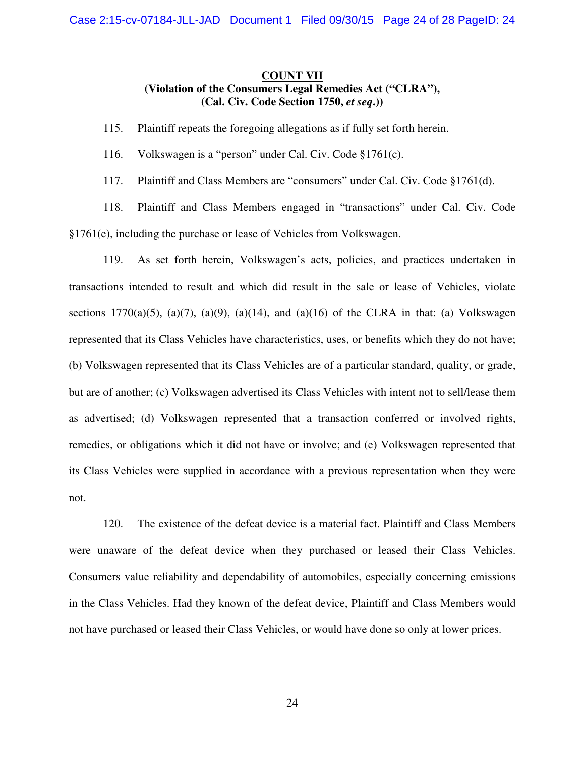### **COUNT VII (Violation of the Consumers Legal Remedies Act ("CLRA"), (Cal. Civ. Code Section 1750,** *et seq***.))**

115. Plaintiff repeats the foregoing allegations as if fully set forth herein.

116. Volkswagen is a "person" under Cal. Civ. Code §1761(c).

117. Plaintiff and Class Members are "consumers" under Cal. Civ. Code §1761(d).

118. Plaintiff and Class Members engaged in "transactions" under Cal. Civ. Code §1761(e), including the purchase or lease of Vehicles from Volkswagen.

119. As set forth herein, Volkswagen's acts, policies, and practices undertaken in transactions intended to result and which did result in the sale or lease of Vehicles, violate sections 1770(a)(5), (a)(7), (a)(9), (a)(14), and (a)(16) of the CLRA in that: (a) Volkswagen represented that its Class Vehicles have characteristics, uses, or benefits which they do not have; (b) Volkswagen represented that its Class Vehicles are of a particular standard, quality, or grade, but are of another; (c) Volkswagen advertised its Class Vehicles with intent not to sell/lease them as advertised; (d) Volkswagen represented that a transaction conferred or involved rights, remedies, or obligations which it did not have or involve; and (e) Volkswagen represented that its Class Vehicles were supplied in accordance with a previous representation when they were not.

120. The existence of the defeat device is a material fact. Plaintiff and Class Members were unaware of the defeat device when they purchased or leased their Class Vehicles. Consumers value reliability and dependability of automobiles, especially concerning emissions in the Class Vehicles. Had they known of the defeat device, Plaintiff and Class Members would not have purchased or leased their Class Vehicles, or would have done so only at lower prices.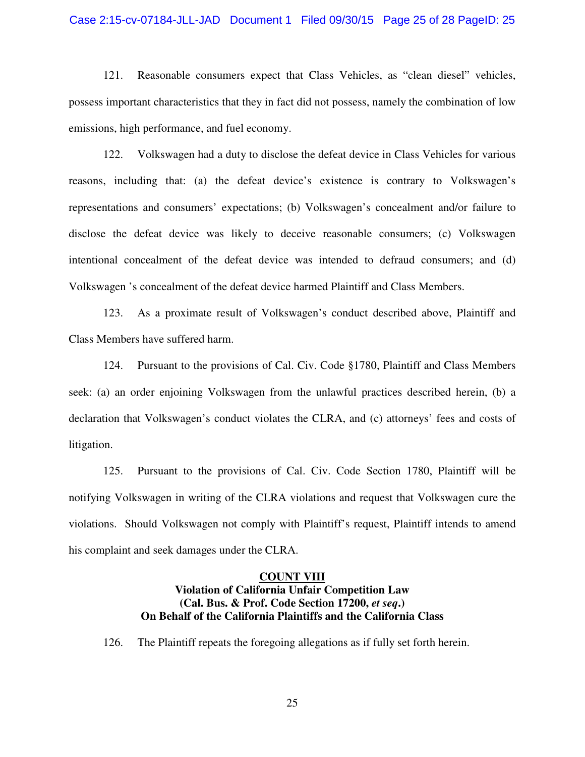#### Case 2:15-cv-07184-JLL-JAD Document 1 Filed 09/30/15 Page 25 of 28 PageID: 25

121. Reasonable consumers expect that Class Vehicles, as "clean diesel" vehicles, possess important characteristics that they in fact did not possess, namely the combination of low emissions, high performance, and fuel economy.

122. Volkswagen had a duty to disclose the defeat device in Class Vehicles for various reasons, including that: (a) the defeat device's existence is contrary to Volkswagen's representations and consumers' expectations; (b) Volkswagen's concealment and/or failure to disclose the defeat device was likely to deceive reasonable consumers; (c) Volkswagen intentional concealment of the defeat device was intended to defraud consumers; and (d) Volkswagen 's concealment of the defeat device harmed Plaintiff and Class Members.

123. As a proximate result of Volkswagen's conduct described above, Plaintiff and Class Members have suffered harm.

124. Pursuant to the provisions of Cal. Civ. Code §1780, Plaintiff and Class Members seek: (a) an order enjoining Volkswagen from the unlawful practices described herein, (b) a declaration that Volkswagen's conduct violates the CLRA, and (c) attorneys' fees and costs of litigation.

125. Pursuant to the provisions of Cal. Civ. Code Section 1780, Plaintiff will be notifying Volkswagen in writing of the CLRA violations and request that Volkswagen cure the violations. Should Volkswagen not comply with Plaintiff's request, Plaintiff intends to amend his complaint and seek damages under the CLRA.

#### **COUNT VIII**

### **Violation of California Unfair Competition Law (Cal. Bus. & Prof. Code Section 17200,** *et seq***.) On Behalf of the California Plaintiffs and the California Class**

126. The Plaintiff repeats the foregoing allegations as if fully set forth herein.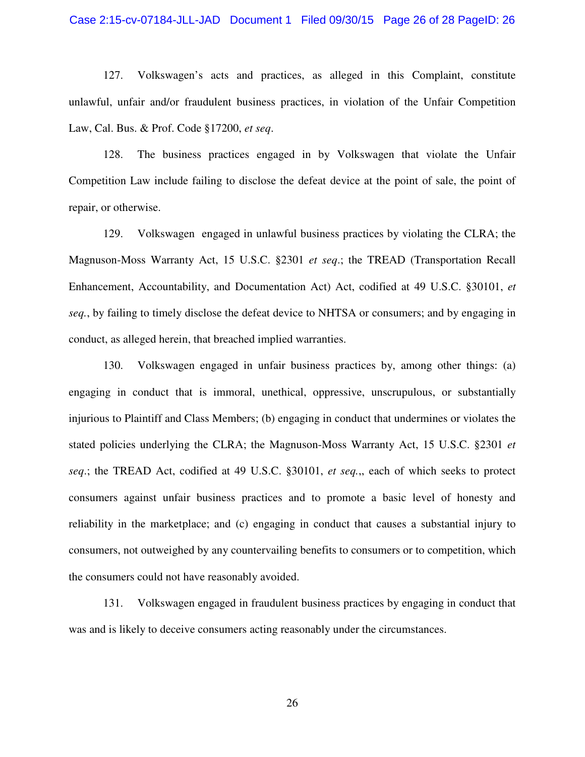#### Case 2:15-cv-07184-JLL-JAD Document 1 Filed 09/30/15 Page 26 of 28 PageID: 26

127. Volkswagen's acts and practices, as alleged in this Complaint, constitute unlawful, unfair and/or fraudulent business practices, in violation of the Unfair Competition Law, Cal. Bus. & Prof. Code §17200, *et seq*.

128. The business practices engaged in by Volkswagen that violate the Unfair Competition Law include failing to disclose the defeat device at the point of sale, the point of repair, or otherwise.

129. Volkswagen engaged in unlawful business practices by violating the CLRA; the Magnuson-Moss Warranty Act, 15 U.S.C. §2301 *et seq*.; the TREAD (Transportation Recall Enhancement, Accountability, and Documentation Act) Act, codified at 49 U.S.C. §30101, *et seq.*, by failing to timely disclose the defeat device to NHTSA or consumers; and by engaging in conduct, as alleged herein, that breached implied warranties.

130. Volkswagen engaged in unfair business practices by, among other things: (a) engaging in conduct that is immoral, unethical, oppressive, unscrupulous, or substantially injurious to Plaintiff and Class Members; (b) engaging in conduct that undermines or violates the stated policies underlying the CLRA; the Magnuson-Moss Warranty Act, 15 U.S.C. §2301 *et seq*.; the TREAD Act, codified at 49 U.S.C. §30101, *et seq.*,, each of which seeks to protect consumers against unfair business practices and to promote a basic level of honesty and reliability in the marketplace; and (c) engaging in conduct that causes a substantial injury to consumers, not outweighed by any countervailing benefits to consumers or to competition, which the consumers could not have reasonably avoided.

131. Volkswagen engaged in fraudulent business practices by engaging in conduct that was and is likely to deceive consumers acting reasonably under the circumstances.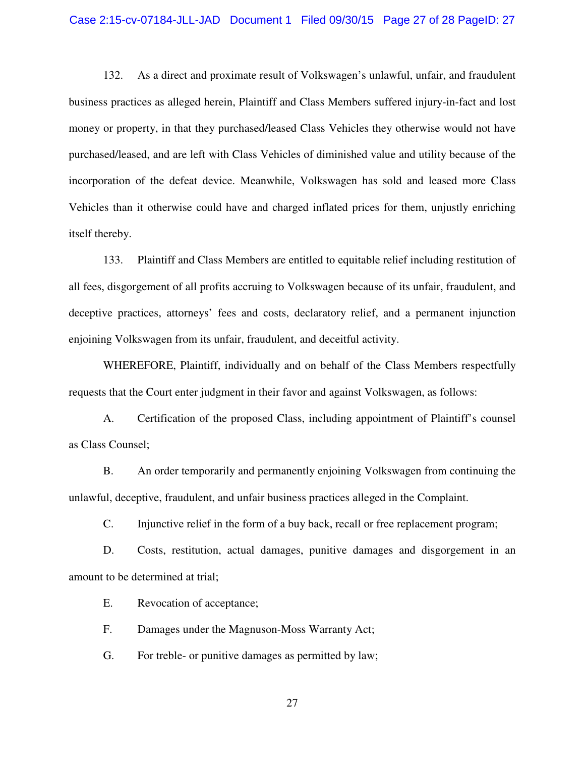#### Case 2:15-cv-07184-JLL-JAD Document 1 Filed 09/30/15 Page 27 of 28 PageID: 27

132. As a direct and proximate result of Volkswagen's unlawful, unfair, and fraudulent business practices as alleged herein, Plaintiff and Class Members suffered injury-in-fact and lost money or property, in that they purchased/leased Class Vehicles they otherwise would not have purchased/leased, and are left with Class Vehicles of diminished value and utility because of the incorporation of the defeat device. Meanwhile, Volkswagen has sold and leased more Class Vehicles than it otherwise could have and charged inflated prices for them, unjustly enriching itself thereby.

133. Plaintiff and Class Members are entitled to equitable relief including restitution of all fees, disgorgement of all profits accruing to Volkswagen because of its unfair, fraudulent, and deceptive practices, attorneys' fees and costs, declaratory relief, and a permanent injunction enjoining Volkswagen from its unfair, fraudulent, and deceitful activity.

WHEREFORE, Plaintiff, individually and on behalf of the Class Members respectfully requests that the Court enter judgment in their favor and against Volkswagen, as follows:

A. Certification of the proposed Class, including appointment of Plaintiff's counsel as Class Counsel;

B. An order temporarily and permanently enjoining Volkswagen from continuing the unlawful, deceptive, fraudulent, and unfair business practices alleged in the Complaint.

C. Injunctive relief in the form of a buy back, recall or free replacement program;

D. Costs, restitution, actual damages, punitive damages and disgorgement in an amount to be determined at trial;

E. Revocation of acceptance;

F. Damages under the Magnuson-Moss Warranty Act;

G. For treble- or punitive damages as permitted by law;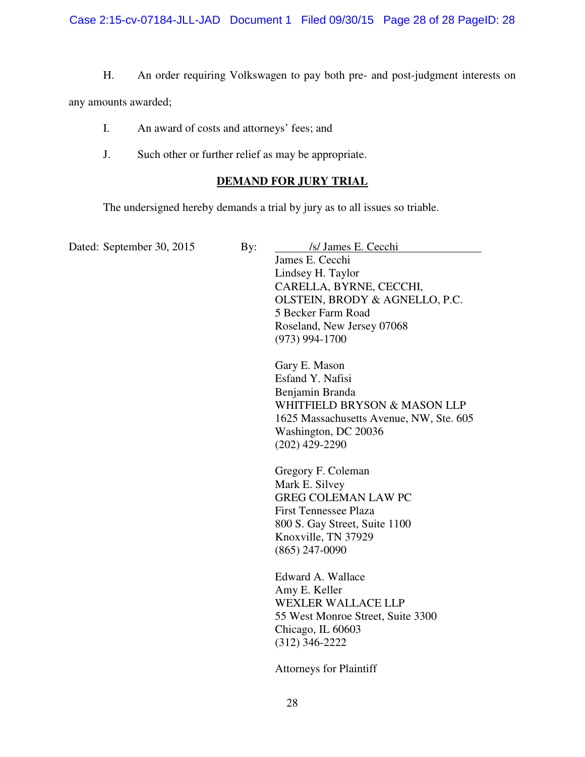H. An order requiring Volkswagen to pay both pre- and post-judgment interests on

any amounts awarded;

- I. An award of costs and attorneys' fees; and
- J. Such other or further relief as may be appropriate.

### **DEMAND FOR JURY TRIAL**

The undersigned hereby demands a trial by jury as to all issues so triable.

Dated: September 30, 2015 By: /s/ James E. Cecchi James E. Cecchi Lindsey H. Taylor CARELLA, BYRNE, CECCHI, OLSTEIN, BRODY & AGNELLO, P.C. 5 Becker Farm Road Roseland, New Jersey 07068 (973) 994-1700 Gary E. Mason Esfand Y. Nafisi Benjamin Branda WHITFIELD BRYSON & MASON LLP 1625 Massachusetts Avenue, NW, Ste. 605 Washington, DC 20036 (202) 429-2290 Gregory F. Coleman Mark E. Silvey GREG COLEMAN LAW PC First Tennessee Plaza 800 S. Gay Street, Suite 1100 Knoxville, TN 37929 (865) 247-0090 Edward A. Wallace Amy E. Keller WEXLER WALLACE LLP 55 West Monroe Street, Suite 3300 Chicago, IL 60603 (312) 346-2222 Attorneys for Plaintiff